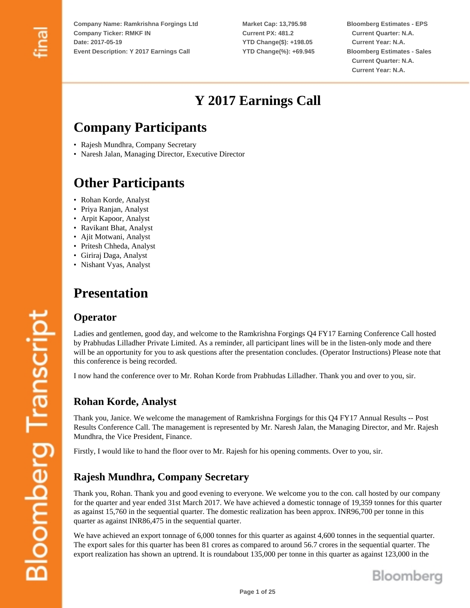**Market Cap: 13,795.98 Current PX: 481.2 YTD Change(\$): +198.05 YTD Change(%): +69.945**

**Bloomberg Estimates - EPS Current Quarter: N.A. Current Year: N.A. Bloomberg Estimates - Sales Current Quarter: N.A. Current Year: N.A.**

# **Y 2017 Earnings Call**

# **Company Participants**

- Rajesh Mundhra, Company Secretary
- Naresh Jalan, Managing Director, Executive Director

# **Other Participants**

- Rohan Korde, Analyst
- Priya Ranjan, Analyst
- Arpit Kapoor, Analyst
- Ravikant Bhat, Analyst
- Ajit Motwani, Analyst
- Pritesh Chheda, Analyst
- Giriraj Daga, Analyst
- Nishant Vyas, Analyst

# **Presentation**

### **Operator**

Ladies and gentlemen, good day, and welcome to the Ramkrishna Forgings Q4 FY17 Earning Conference Call hosted by Prabhudas Lilladher Private Limited. As a reminder, all participant lines will be in the listen-only mode and there will be an opportunity for you to ask questions after the presentation concludes. (Operator Instructions) Please note that this conference is being recorded.

I now hand the conference over to Mr. Rohan Korde from Prabhudas Lilladher. Thank you and over to you, sir.

# **Rohan Korde, Analyst**

Thank you, Janice. We welcome the management of Ramkrishna Forgings for this Q4 FY17 Annual Results -- Post Results Conference Call. The management is represented by Mr. Naresh Jalan, the Managing Director, and Mr. Rajesh Mundhra, the Vice President, Finance.

Firstly, I would like to hand the floor over to Mr. Rajesh for his opening comments. Over to you, sir.

# **Rajesh Mundhra, Company Secretary**

Thank you, Rohan. Thank you and good evening to everyone. We welcome you to the con. call hosted by our company for the quarter and year ended 31st March 2017. We have achieved a domestic tonnage of 19,359 tonnes for this quarter as against 15,760 in the sequential quarter. The domestic realization has been approx. INR96,700 per tonne in this quarter as against INR86,475 in the sequential quarter.

We have achieved an export tonnage of 6,000 tonnes for this quarter as against 4,600 tonnes in the sequential quarter. The export sales for this quarter has been 81 crores as compared to around 56.7 crores in the sequential quarter. The export realization has shown an uptrend. It is roundabout 135,000 per tonne in this quarter as against 123,000 in the

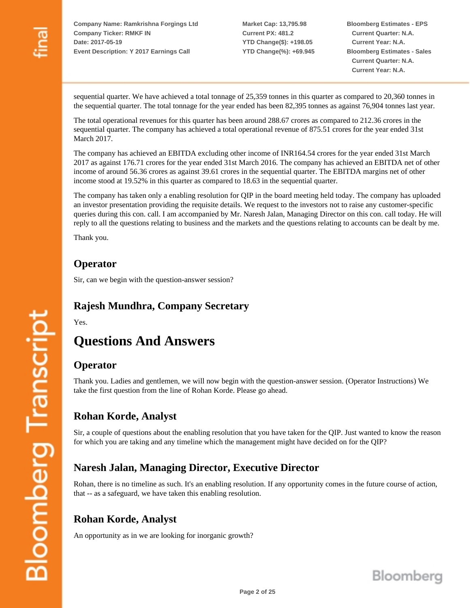**Market Cap: 13,795.98 Current PX: 481.2 YTD Change(\$): +198.05 YTD Change(%): +69.945** **Bloomberg Estimates - EPS Current Quarter: N.A. Current Year: N.A. Bloomberg Estimates - Sales Current Quarter: N.A. Current Year: N.A.**

sequential quarter. We have achieved a total tonnage of 25,359 tonnes in this quarter as compared to 20,360 tonnes in the sequential quarter. The total tonnage for the year ended has been 82,395 tonnes as against 76,904 tonnes last year.

The total operational revenues for this quarter has been around 288.67 crores as compared to 212.36 crores in the sequential quarter. The company has achieved a total operational revenue of 875.51 crores for the year ended 31st March 2017.

The company has achieved an EBITDA excluding other income of INR164.54 crores for the year ended 31st March 2017 as against 176.71 crores for the year ended 31st March 2016. The company has achieved an EBITDA net of other income of around 56.36 crores as against 39.61 crores in the sequential quarter. The EBITDA margins net of other income stood at 19.52% in this quarter as compared to 18.63 in the sequential quarter.

The company has taken only a enabling resolution for QIP in the board meeting held today. The company has uploaded an investor presentation providing the requisite details. We request to the investors not to raise any customer-specific queries during this con. call. I am accompanied by Mr. Naresh Jalan, Managing Director on this con. call today. He will reply to all the questions relating to business and the markets and the questions relating to accounts can be dealt by me.

Thank you.

#### **Operator**

Sir, can we begin with the question-answer session?

### **Rajesh Mundhra, Company Secretary**

Yes.

# **Questions And Answers**

#### **Operator**

Thank you. Ladies and gentlemen, we will now begin with the question-answer session. (Operator Instructions) We take the first question from the line of Rohan Korde. Please go ahead.

### **Rohan Korde, Analyst**

Sir, a couple of questions about the enabling resolution that you have taken for the QIP. Just wanted to know the reason for which you are taking and any timeline which the management might have decided on for the QIP?

# **Naresh Jalan, Managing Director, Executive Director**

Rohan, there is no timeline as such. It's an enabling resolution. If any opportunity comes in the future course of action, that -- as a safeguard, we have taken this enabling resolution.

### **Rohan Korde, Analyst**

An opportunity as in we are looking for inorganic growth?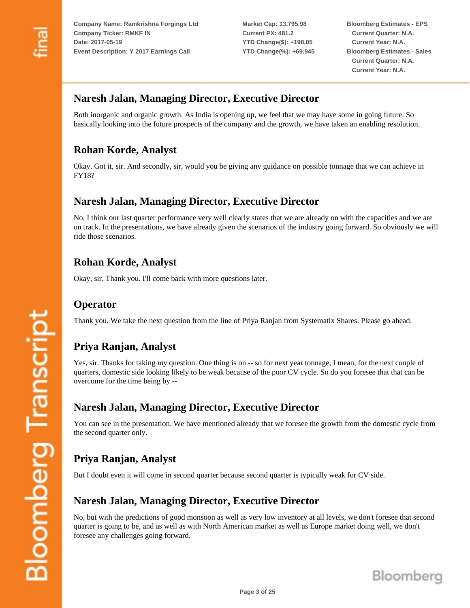**Market Cap: 13,795.98 Current PX: 481.2 YTD Change(\$): +198.05 YTD Change(%): +69.945** **Bloomberg Estimates - EPS Current Quarter: N.A. Current Year: N.A. Bloomberg Estimates - Sales Current Quarter: N.A. Current Year: N.A.**

### **Naresh Jalan, Managing Director, Executive Director**

Both inorganic and organic growth. As India is opening up, we feel that we may have some in going future. So basically looking into the future prospects of the company and the growth, we have taken an enabling resolution.

# **Rohan Korde, Analyst**

Okay. Got it, sir. And secondly, sir, would you be giving any guidance on possible tonnage that we can achieve in FY18?

#### **Naresh Jalan, Managing Director, Executive Director**

No, I think our last quarter performance very well clearly states that we are already on with the capacities and we are on track. In the presentations, we have already given the scenarios of the industry going forward. So obviously we will ride those scenarios.

#### **Rohan Korde, Analyst**

Okay, sir. Thank you. I'll come back with more questions later.

### **Operator**

Thank you. We take the next question from the line of Priya Ranjan from Systematix Shares. Please go ahead.

### **Priya Ranjan, Analyst**

Yes, sir. Thanks for taking my question. One thing is on -- so for next year tonnage, I mean, for the next couple of quarters, domestic side looking likely to be weak because of the poor CV cycle. So do you foresee that that can be overcome for the time being by --

### **Naresh Jalan, Managing Director, Executive Director**

You can see in the presentation. We have mentioned already that we foresee the growth from the domestic cycle from the second quarter only.

# **Priya Ranjan, Analyst**

But I doubt even it will come in second quarter because second quarter is typically weak for CV side.

### **Naresh Jalan, Managing Director, Executive Director**

No, but with the predictions of good monsoon as well as very low inventory at all levels, we don't foresee that second quarter is going to be, and as well as with North American market as well as Europe market doing well, we don't foresee any challenges going forward.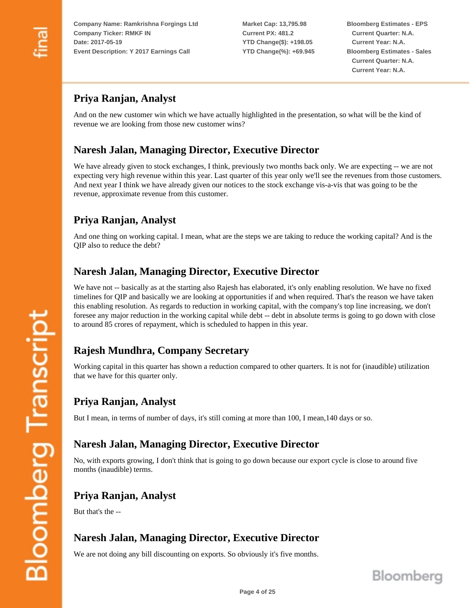**Market Cap: 13,795.98 Current PX: 481.2 YTD Change(\$): +198.05 YTD Change(%): +69.945** **Bloomberg Estimates - EPS Current Quarter: N.A. Current Year: N.A. Bloomberg Estimates - Sales Current Quarter: N.A. Current Year: N.A.**

# **Priya Ranjan, Analyst**

And on the new customer win which we have actually highlighted in the presentation, so what will be the kind of revenue we are looking from those new customer wins?

# **Naresh Jalan, Managing Director, Executive Director**

We have already given to stock exchanges, I think, previously two months back only. We are expecting -- we are not expecting very high revenue within this year. Last quarter of this year only we'll see the revenues from those customers. And next year I think we have already given our notices to the stock exchange vis-a-vis that was going to be the revenue, approximate revenue from this customer.

# **Priya Ranjan, Analyst**

And one thing on working capital. I mean, what are the steps we are taking to reduce the working capital? And is the QIP also to reduce the debt?

# **Naresh Jalan, Managing Director, Executive Director**

We have not -- basically as at the starting also Rajesh has elaborated, it's only enabling resolution. We have no fixed timelines for QIP and basically we are looking at opportunities if and when required. That's the reason we have taken this enabling resolution. As regards to reduction in working capital, with the company's top line increasing, we don't foresee any major reduction in the working capital while debt -- debt in absolute terms is going to go down with close to around 85 crores of repayment, which is scheduled to happen in this year.

# **Rajesh Mundhra, Company Secretary**

Working capital in this quarter has shown a reduction compared to other quarters. It is not for (inaudible) utilization that we have for this quarter only.

# **Priya Ranjan, Analyst**

But I mean, in terms of number of days, it's still coming at more than 100, I mean,140 days or so.

### **Naresh Jalan, Managing Director, Executive Director**

No, with exports growing, I don't think that is going to go down because our export cycle is close to around five months (inaudible) terms.

# **Priya Ranjan, Analyst**

But that's the --

# **Naresh Jalan, Managing Director, Executive Director**

We are not doing any bill discounting on exports. So obviously it's five months.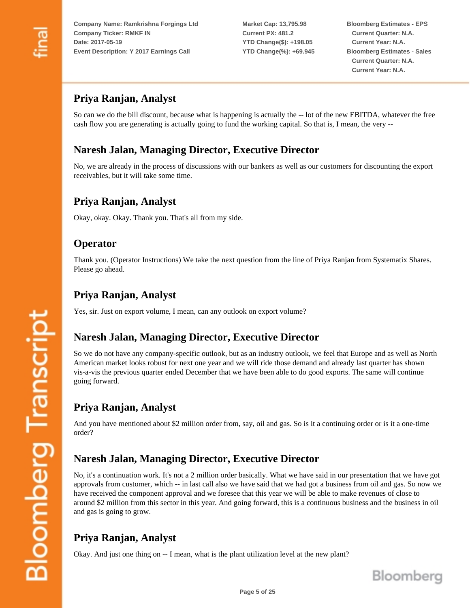**Market Cap: 13,795.98 Current PX: 481.2 YTD Change(\$): +198.05 YTD Change(%): +69.945** **Bloomberg Estimates - EPS Current Quarter: N.A. Current Year: N.A. Bloomberg Estimates - Sales Current Quarter: N.A. Current Year: N.A.**

# **Priya Ranjan, Analyst**

So can we do the bill discount, because what is happening is actually the -- lot of the new EBITDA, whatever the free cash flow you are generating is actually going to fund the working capital. So that is, I mean, the very --

### **Naresh Jalan, Managing Director, Executive Director**

No, we are already in the process of discussions with our bankers as well as our customers for discounting the export receivables, but it will take some time.

### **Priya Ranjan, Analyst**

Okay, okay. Okay. Thank you. That's all from my side.

#### **Operator**

Thank you. (Operator Instructions) We take the next question from the line of Priya Ranjan from Systematix Shares. Please go ahead.

#### **Priya Ranjan, Analyst**

Yes, sir. Just on export volume, I mean, can any outlook on export volume?

### **Naresh Jalan, Managing Director, Executive Director**

So we do not have any company-specific outlook, but as an industry outlook, we feel that Europe and as well as North American market looks robust for next one year and we will ride those demand and already last quarter has shown vis-a-vis the previous quarter ended December that we have been able to do good exports. The same will continue going forward.

# **Priya Ranjan, Analyst**

And you have mentioned about \$2 million order from, say, oil and gas. So is it a continuing order or is it a one-time order?

### **Naresh Jalan, Managing Director, Executive Director**

No, it's a continuation work. It's not a 2 million order basically. What we have said in our presentation that we have got approvals from customer, which -- in last call also we have said that we had got a business from oil and gas. So now we have received the component approval and we foresee that this year we will be able to make revenues of close to around \$2 million from this sector in this year. And going forward, this is a continuous business and the business in oil and gas is going to grow.

# **Priya Ranjan, Analyst**

Okay. And just one thing on -- I mean, what is the plant utilization level at the new plant?

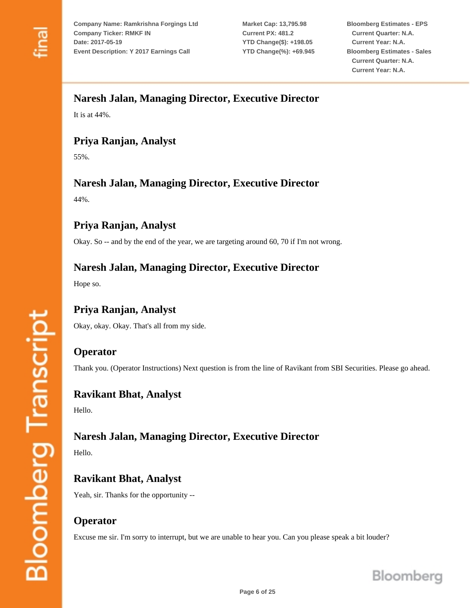**Market Cap: 13,795.98 Current PX: 481.2 YTD Change(\$): +198.05 YTD Change(%): +69.945** **Bloomberg Estimates - EPS Current Quarter: N.A. Current Year: N.A. Bloomberg Estimates - Sales Current Quarter: N.A. Current Year: N.A.**

### **Naresh Jalan, Managing Director, Executive Director**

It is at 44%.

# **Priya Ranjan, Analyst**

55%.

# **Naresh Jalan, Managing Director, Executive Director**

44%.

# **Priya Ranjan, Analyst**

Okay. So -- and by the end of the year, we are targeting around 60, 70 if I'm not wrong.

### **Naresh Jalan, Managing Director, Executive Director**

Hope so.

# **Priya Ranjan, Analyst**

Okay, okay. Okay. That's all from my side.

### **Operator**

Thank you. (Operator Instructions) Next question is from the line of Ravikant from SBI Securities. Please go ahead.

# **Ravikant Bhat, Analyst**

Hello.

# **Naresh Jalan, Managing Director, Executive Director**

Hello.

# **Ravikant Bhat, Analyst**

Yeah, sir. Thanks for the opportunity --

### **Operator**

Excuse me sir. I'm sorry to interrupt, but we are unable to hear you. Can you please speak a bit louder?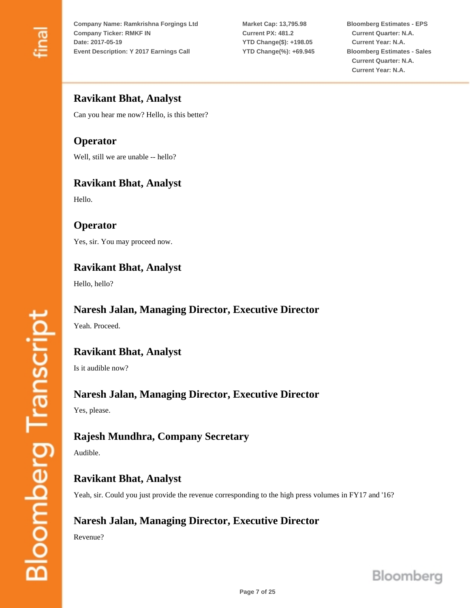**Market Cap: 13,795.98 Current PX: 481.2 YTD Change(\$): +198.05 YTD Change(%): +69.945** **Bloomberg Estimates - EPS Current Quarter: N.A. Current Year: N.A. Bloomberg Estimates - Sales Current Quarter: N.A. Current Year: N.A.**

# **Ravikant Bhat, Analyst**

Can you hear me now? Hello, is this better?

# **Operator**

Well, still we are unable -- hello?

# **Ravikant Bhat, Analyst**

Hello.

#### **Operator**

Yes, sir. You may proceed now.

# **Ravikant Bhat, Analyst**

Hello, hello?

### **Naresh Jalan, Managing Director, Executive Director**

Yeah. Proceed.

# **Ravikant Bhat, Analyst**

Is it audible now?

### **Naresh Jalan, Managing Director, Executive Director**

Yes, please.

# **Rajesh Mundhra, Company Secretary**

Audible.

# **Ravikant Bhat, Analyst**

Yeah, sir. Could you just provide the revenue corresponding to the high press volumes in FY17 and '16?

# **Naresh Jalan, Managing Director, Executive Director**

Revenue?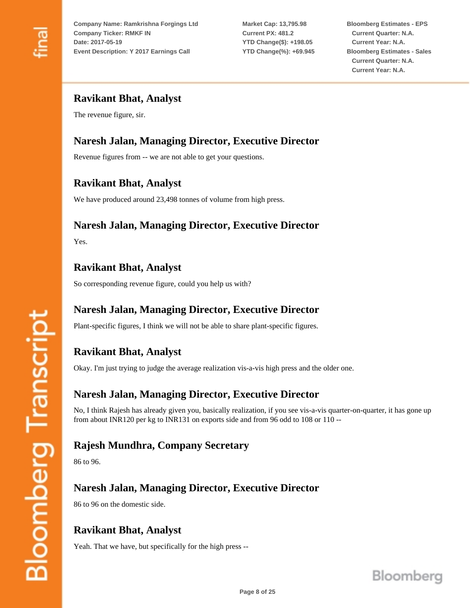**Market Cap: 13,795.98 Current PX: 481.2 YTD Change(\$): +198.05 YTD Change(%): +69.945** **Bloomberg Estimates - EPS Current Quarter: N.A. Current Year: N.A. Bloomberg Estimates - Sales Current Quarter: N.A. Current Year: N.A.**

# **Ravikant Bhat, Analyst**

The revenue figure, sir.

# **Naresh Jalan, Managing Director, Executive Director**

Revenue figures from -- we are not able to get your questions.

### **Ravikant Bhat, Analyst**

We have produced around 23,498 tonnes of volume from high press.

### **Naresh Jalan, Managing Director, Executive Director**

Yes.

# **Ravikant Bhat, Analyst**

So corresponding revenue figure, could you help us with?

# **Naresh Jalan, Managing Director, Executive Director**

Plant-specific figures, I think we will not be able to share plant-specific figures.

# **Ravikant Bhat, Analyst**

Okay. I'm just trying to judge the average realization vis-a-vis high press and the older one.

#### **Naresh Jalan, Managing Director, Executive Director**

No, I think Rajesh has already given you, basically realization, if you see vis-a-vis quarter-on-quarter, it has gone up from about INR120 per kg to INR131 on exports side and from 96 odd to 108 or 110 --

#### **Rajesh Mundhra, Company Secretary**

86 to 96.

**Bloomberg Transcript** 

### **Naresh Jalan, Managing Director, Executive Director**

86 to 96 on the domestic side.

### **Ravikant Bhat, Analyst**

Yeah. That we have, but specifically for the high press --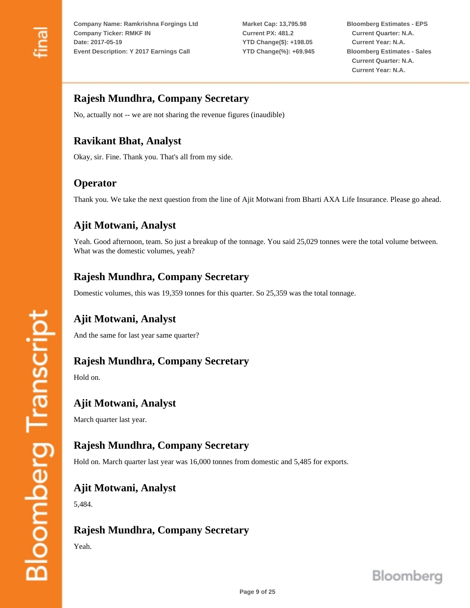**Market Cap: 13,795.98 Current PX: 481.2 YTD Change(\$): +198.05 YTD Change(%): +69.945** **Bloomberg Estimates - EPS Current Quarter: N.A. Current Year: N.A. Bloomberg Estimates - Sales Current Quarter: N.A. Current Year: N.A.**

### **Rajesh Mundhra, Company Secretary**

No, actually not -- we are not sharing the revenue figures (inaudible)

# **Ravikant Bhat, Analyst**

Okay, sir. Fine. Thank you. That's all from my side.

# **Operator**

Thank you. We take the next question from the line of Ajit Motwani from Bharti AXA Life Insurance. Please go ahead.

# **Ajit Motwani, Analyst**

Yeah. Good afternoon, team. So just a breakup of the tonnage. You said 25,029 tonnes were the total volume between. What was the domestic volumes, yeah?

# **Rajesh Mundhra, Company Secretary**

Domestic volumes, this was 19,359 tonnes for this quarter. So 25,359 was the total tonnage.

### **Ajit Motwani, Analyst**

And the same for last year same quarter?

#### **Rajesh Mundhra, Company Secretary**

Hold on.

#### **Ajit Motwani, Analyst**

March quarter last year.

### **Rajesh Mundhra, Company Secretary**

Hold on. March quarter last year was 16,000 tonnes from domestic and 5,485 for exports.

#### **Ajit Motwani, Analyst**

5,484.

### **Rajesh Mundhra, Company Secretary**

Yeah.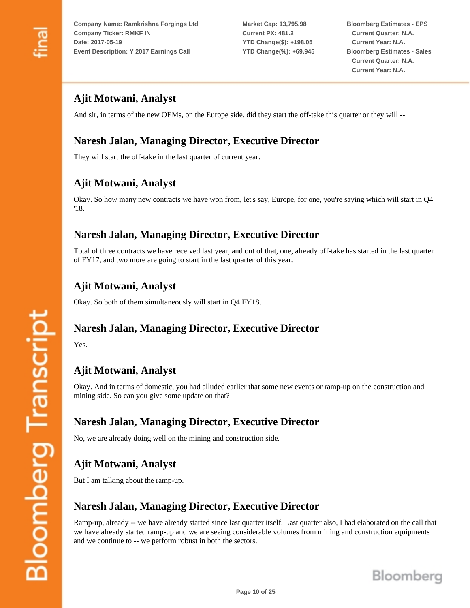**Market Cap: 13,795.98 Current PX: 481.2 YTD Change(\$): +198.05 YTD Change(%): +69.945** **Bloomberg Estimates - EPS Current Quarter: N.A. Current Year: N.A. Bloomberg Estimates - Sales Current Quarter: N.A. Current Year: N.A.**

# **Ajit Motwani, Analyst**

And sir, in terms of the new OEMs, on the Europe side, did they start the off-take this quarter or they will --

# **Naresh Jalan, Managing Director, Executive Director**

They will start the off-take in the last quarter of current year.

# **Ajit Motwani, Analyst**

Okay. So how many new contracts we have won from, let's say, Europe, for one, you're saying which will start in Q4 '18.

### **Naresh Jalan, Managing Director, Executive Director**

Total of three contracts we have received last year, and out of that, one, already off-take has started in the last quarter of FY17, and two more are going to start in the last quarter of this year.

# **Ajit Motwani, Analyst**

Okay. So both of them simultaneously will start in Q4 FY18.

#### **Naresh Jalan, Managing Director, Executive Director**

Yes.

# **Ajit Motwani, Analyst**

Okay. And in terms of domestic, you had alluded earlier that some new events or ramp-up on the construction and mining side. So can you give some update on that?

### **Naresh Jalan, Managing Director, Executive Director**

No, we are already doing well on the mining and construction side.

# **Ajit Motwani, Analyst**

But I am talking about the ramp-up.

# **Naresh Jalan, Managing Director, Executive Director**

Ramp-up, already -- we have already started since last quarter itself. Last quarter also, I had elaborated on the call that we have already started ramp-up and we are seeing considerable volumes from mining and construction equipments and we continue to -- we perform robust in both the sectors.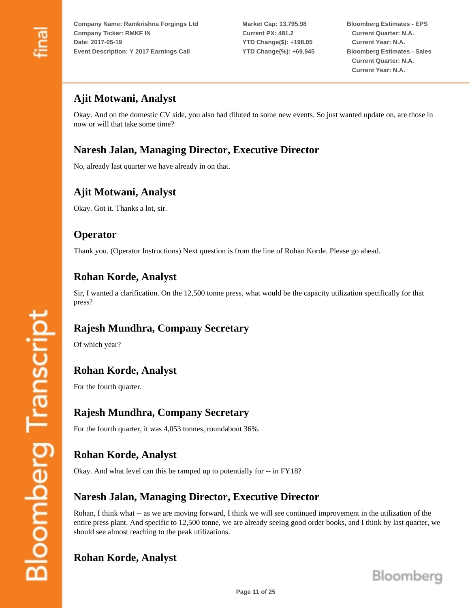**Market Cap: 13,795.98 Current PX: 481.2 YTD Change(\$): +198.05 YTD Change(%): +69.945** **Bloomberg Estimates - EPS Current Quarter: N.A. Current Year: N.A. Bloomberg Estimates - Sales Current Quarter: N.A. Current Year: N.A.**

# **Ajit Motwani, Analyst**

Okay. And on the domestic CV side, you also had diluted to some new events. So just wanted update on, are those in now or will that take some time?

### **Naresh Jalan, Managing Director, Executive Director**

No, already last quarter we have already in on that.

#### **Ajit Motwani, Analyst**

Okay. Got it. Thanks a lot, sir.

#### **Operator**

Thank you. (Operator Instructions) Next question is from the line of Rohan Korde. Please go ahead.

#### **Rohan Korde, Analyst**

Sir, I wanted a clarification. On the 12,500 tonne press, what would be the capacity utilization specifically for that press?

### **Rajesh Mundhra, Company Secretary**

Of which year?

### **Rohan Korde, Analyst**

For the fourth quarter.

### **Rajesh Mundhra, Company Secretary**

For the fourth quarter, it was 4,053 tonnes, roundabout 36%.

# **Rohan Korde, Analyst**

Okay. And what level can this be ramped up to potentially for -- in FY18?

#### **Naresh Jalan, Managing Director, Executive Director**

Rohan, I think what -- as we are moving forward, I think we will see continued improvement in the utilization of the entire press plant. And specific to 12,500 tonne, we are already seeing good order books, and I think by last quarter, we should see almost reaching to the peak utilizations.

### **Rohan Korde, Analyst**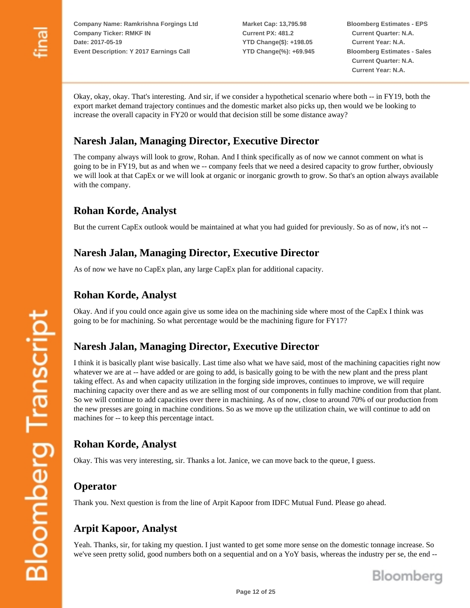**Market Cap: 13,795.98 Current PX: 481.2 YTD Change(\$): +198.05 YTD Change(%): +69.945** **Bloomberg Estimates - EPS Current Quarter: N.A. Current Year: N.A. Bloomberg Estimates - Sales Current Quarter: N.A. Current Year: N.A.**

Okay, okay, okay. That's interesting. And sir, if we consider a hypothetical scenario where both -- in FY19, both the export market demand trajectory continues and the domestic market also picks up, then would we be looking to increase the overall capacity in FY20 or would that decision still be some distance away?

# **Naresh Jalan, Managing Director, Executive Director**

The company always will look to grow, Rohan. And I think specifically as of now we cannot comment on what is going to be in FY19, but as and when we -- company feels that we need a desired capacity to grow further, obviously we will look at that CapEx or we will look at organic or inorganic growth to grow. So that's an option always available with the company.

# **Rohan Korde, Analyst**

But the current CapEx outlook would be maintained at what you had guided for previously. So as of now, it's not --

# **Naresh Jalan, Managing Director, Executive Director**

As of now we have no CapEx plan, any large CapEx plan for additional capacity.

### **Rohan Korde, Analyst**

Okay. And if you could once again give us some idea on the machining side where most of the CapEx I think was going to be for machining. So what percentage would be the machining figure for FY17?

### **Naresh Jalan, Managing Director, Executive Director**

I think it is basically plant wise basically. Last time also what we have said, most of the machining capacities right now whatever we are at -- have added or are going to add, is basically going to be with the new plant and the press plant taking effect. As and when capacity utilization in the forging side improves, continues to improve, we will require machining capacity over there and as we are selling most of our components in fully machine condition from that plant. So we will continue to add capacities over there in machining. As of now, close to around 70% of our production from the new presses are going in machine conditions. So as we move up the utilization chain, we will continue to add on machines for -- to keep this percentage intact.

# **Rohan Korde, Analyst**

Okay. This was very interesting, sir. Thanks a lot. Janice, we can move back to the queue, I guess.

### **Operator**

Thank you. Next question is from the line of Arpit Kapoor from IDFC Mutual Fund. Please go ahead.

# **Arpit Kapoor, Analyst**

Yeah. Thanks, sir, for taking my question. I just wanted to get some more sense on the domestic tonnage increase. So we've seen pretty solid, good numbers both on a sequential and on a YoY basis, whereas the industry per se, the end --

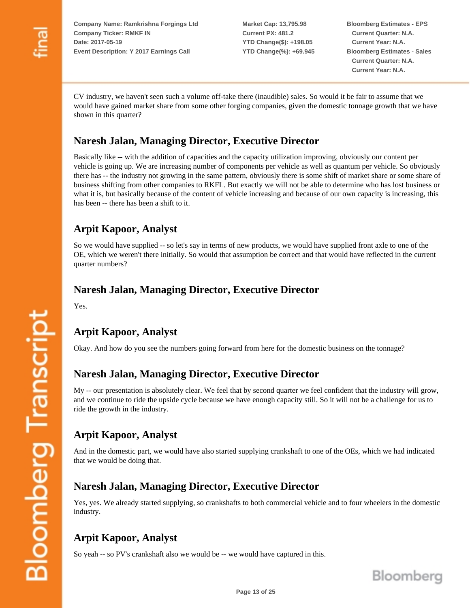**Market Cap: 13,795.98 Current PX: 481.2 YTD Change(\$): +198.05 YTD Change(%): +69.945**

**Bloomberg Estimates - EPS Current Quarter: N.A. Current Year: N.A. Bloomberg Estimates - Sales Current Quarter: N.A. Current Year: N.A.**

CV industry, we haven't seen such a volume off-take there (inaudible) sales. So would it be fair to assume that we would have gained market share from some other forging companies, given the domestic tonnage growth that we have shown in this quarter?

# **Naresh Jalan, Managing Director, Executive Director**

Basically like -- with the addition of capacities and the capacity utilization improving, obviously our content per vehicle is going up. We are increasing number of components per vehicle as well as quantum per vehicle. So obviously there has -- the industry not growing in the same pattern, obviously there is some shift of market share or some share of business shifting from other companies to RKFL. But exactly we will not be able to determine who has lost business or what it is, but basically because of the content of vehicle increasing and because of our own capacity is increasing, this has been -- there has been a shift to it.

# **Arpit Kapoor, Analyst**

So we would have supplied -- so let's say in terms of new products, we would have supplied front axle to one of the OE, which we weren't there initially. So would that assumption be correct and that would have reflected in the current quarter numbers?

# **Naresh Jalan, Managing Director, Executive Director**

Yes.

**Bloomberg Transcript** 

# **Arpit Kapoor, Analyst**

Okay. And how do you see the numbers going forward from here for the domestic business on the tonnage?

### **Naresh Jalan, Managing Director, Executive Director**

My -- our presentation is absolutely clear. We feel that by second quarter we feel confident that the industry will grow, and we continue to ride the upside cycle because we have enough capacity still. So it will not be a challenge for us to ride the growth in the industry.

### **Arpit Kapoor, Analyst**

And in the domestic part, we would have also started supplying crankshaft to one of the OEs, which we had indicated that we would be doing that.

### **Naresh Jalan, Managing Director, Executive Director**

Yes, yes. We already started supplying, so crankshafts to both commercial vehicle and to four wheelers in the domestic industry.

# **Arpit Kapoor, Analyst**

So yeah -- so PV's crankshaft also we would be -- we would have captured in this.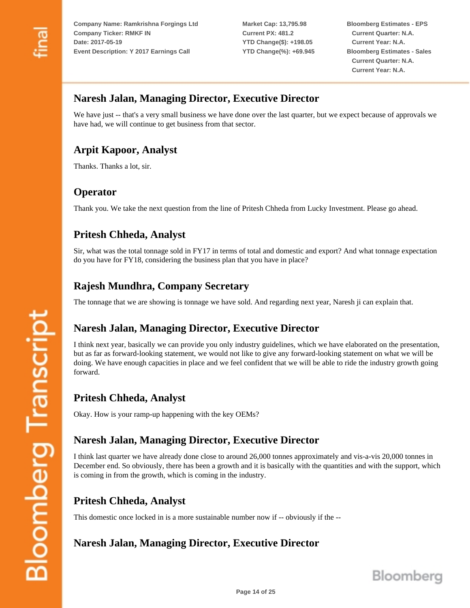**Market Cap: 13,795.98 Current PX: 481.2 YTD Change(\$): +198.05 YTD Change(%): +69.945** **Bloomberg Estimates - EPS Current Quarter: N.A. Current Year: N.A. Bloomberg Estimates - Sales Current Quarter: N.A. Current Year: N.A.**

### **Naresh Jalan, Managing Director, Executive Director**

We have just -- that's a very small business we have done over the last quarter, but we expect because of approvals we have had, we will continue to get business from that sector.

### **Arpit Kapoor, Analyst**

Thanks. Thanks a lot, sir.

#### **Operator**

Thank you. We take the next question from the line of Pritesh Chheda from Lucky Investment. Please go ahead.

### **Pritesh Chheda, Analyst**

Sir, what was the total tonnage sold in FY17 in terms of total and domestic and export? And what tonnage expectation do you have for FY18, considering the business plan that you have in place?

### **Rajesh Mundhra, Company Secretary**

The tonnage that we are showing is tonnage we have sold. And regarding next year, Naresh ji can explain that.

# **Naresh Jalan, Managing Director, Executive Director**

I think next year, basically we can provide you only industry guidelines, which we have elaborated on the presentation, but as far as forward-looking statement, we would not like to give any forward-looking statement on what we will be doing. We have enough capacities in place and we feel confident that we will be able to ride the industry growth going forward.

### **Pritesh Chheda, Analyst**

Okay. How is your ramp-up happening with the key OEMs?

### **Naresh Jalan, Managing Director, Executive Director**

I think last quarter we have already done close to around 26,000 tonnes approximately and vis-a-vis 20,000 tonnes in December end. So obviously, there has been a growth and it is basically with the quantities and with the support, which is coming in from the growth, which is coming in the industry.

### **Pritesh Chheda, Analyst**

This domestic once locked in is a more sustainable number now if -- obviously if the --

# **Naresh Jalan, Managing Director, Executive Director**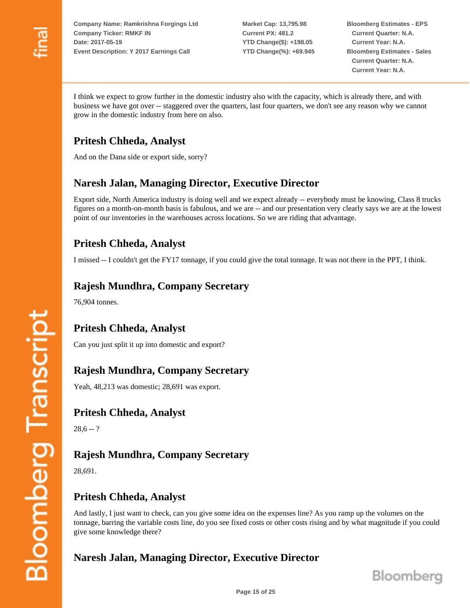**Market Cap: 13,795.98 Current PX: 481.2 YTD Change(\$): +198.05 YTD Change(%): +69.945** **Bloomberg Estimates - EPS Current Quarter: N.A. Current Year: N.A. Bloomberg Estimates - Sales Current Quarter: N.A. Current Year: N.A.**

I think we expect to grow further in the domestic industry also with the capacity, which is already there, and with business we have got over -- staggered over the quarters, last four quarters, we don't see any reason why we cannot grow in the domestic industry from here on also.

# **Pritesh Chheda, Analyst**

And on the Dana side or export side, sorry?

# **Naresh Jalan, Managing Director, Executive Director**

Export side, North America industry is doing well and we expect already -- everybody must be knowing, Class 8 trucks figures on a month-on-month basis is fabulous, and we are -- and our presentation very clearly says we are at the lowest point of our inventories in the warehouses across locations. So we are riding that advantage.

# **Pritesh Chheda, Analyst**

I missed -- I couldn't get the FY17 tonnage, if you could give the total tonnage. It was not there in the PPT, I think.

#### **Rajesh Mundhra, Company Secretary**

76,904 tonnes.

# **Pritesh Chheda, Analyst**

Can you just split it up into domestic and export?

#### **Rajesh Mundhra, Company Secretary**

Yeah, 48,213 was domestic; 28,691 was export.

#### **Pritesh Chheda, Analyst**

 $28,6 - ?$ 

### **Rajesh Mundhra, Company Secretary**

28,691.

#### **Pritesh Chheda, Analyst**

And lastly, I just want to check, can you give some idea on the expenses line? As you ramp up the volumes on the tonnage, barring the variable costs line, do you see fixed costs or other costs rising and by what magnitude if you could give some knowledge there?

### **Naresh Jalan, Managing Director, Executive Director**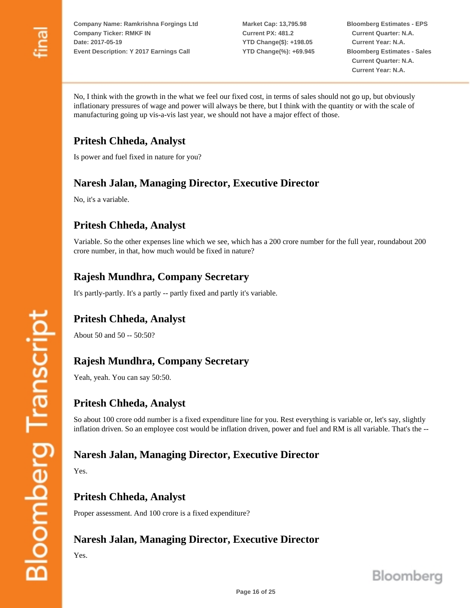**Market Cap: 13,795.98 Current PX: 481.2 YTD Change(\$): +198.05 YTD Change(%): +69.945** **Bloomberg Estimates - EPS Current Quarter: N.A. Current Year: N.A. Bloomberg Estimates - Sales Current Quarter: N.A. Current Year: N.A.**

No, I think with the growth in the what we feel our fixed cost, in terms of sales should not go up, but obviously inflationary pressures of wage and power will always be there, but I think with the quantity or with the scale of manufacturing going up vis-a-vis last year, we should not have a major effect of those.

# **Pritesh Chheda, Analyst**

Is power and fuel fixed in nature for you?

# **Naresh Jalan, Managing Director, Executive Director**

No, it's a variable.

# **Pritesh Chheda, Analyst**

Variable. So the other expenses line which we see, which has a 200 crore number for the full year, roundabout 200 crore number, in that, how much would be fixed in nature?

# **Rajesh Mundhra, Company Secretary**

It's partly-partly. It's a partly -- partly fixed and partly it's variable.

# **Pritesh Chheda, Analyst**

About 50 and 50 -- 50:50?

### **Rajesh Mundhra, Company Secretary**

Yeah, yeah. You can say 50:50.

#### **Pritesh Chheda, Analyst**

So about 100 crore odd number is a fixed expenditure line for you. Rest everything is variable or, let's say, slightly inflation driven. So an employee cost would be inflation driven, power and fuel and RM is all variable. That's the --

### **Naresh Jalan, Managing Director, Executive Director**

Yes.

### **Pritesh Chheda, Analyst**

Proper assessment. And 100 crore is a fixed expenditure?

# **Naresh Jalan, Managing Director, Executive Director**

Yes.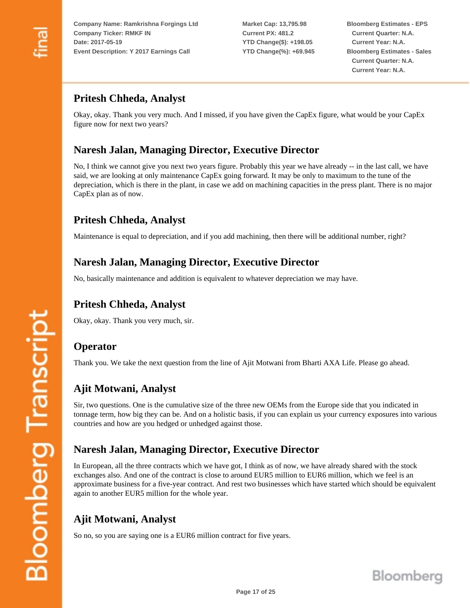**Market Cap: 13,795.98 Current PX: 481.2 YTD Change(\$): +198.05 YTD Change(%): +69.945** **Bloomberg Estimates - EPS Current Quarter: N.A. Current Year: N.A. Bloomberg Estimates - Sales Current Quarter: N.A. Current Year: N.A.**

# **Pritesh Chheda, Analyst**

Okay, okay. Thank you very much. And I missed, if you have given the CapEx figure, what would be your CapEx figure now for next two years?

### **Naresh Jalan, Managing Director, Executive Director**

No, I think we cannot give you next two years figure. Probably this year we have already -- in the last call, we have said, we are looking at only maintenance CapEx going forward. It may be only to maximum to the tune of the depreciation, which is there in the plant, in case we add on machining capacities in the press plant. There is no major CapEx plan as of now.

#### **Pritesh Chheda, Analyst**

Maintenance is equal to depreciation, and if you add machining, then there will be additional number, right?

#### **Naresh Jalan, Managing Director, Executive Director**

No, basically maintenance and addition is equivalent to whatever depreciation we may have.

# **Pritesh Chheda, Analyst**

Okay, okay. Thank you very much, sir.

#### **Operator**

Thank you. We take the next question from the line of Ajit Motwani from Bharti AXA Life. Please go ahead.

#### **Ajit Motwani, Analyst**

Sir, two questions. One is the cumulative size of the three new OEMs from the Europe side that you indicated in tonnage term, how big they can be. And on a holistic basis, if you can explain us your currency exposures into various countries and how are you hedged or unhedged against those.

### **Naresh Jalan, Managing Director, Executive Director**

In European, all the three contracts which we have got, I think as of now, we have already shared with the stock exchanges also. And one of the contract is close to around EUR5 million to EUR6 million, which we feel is an approximate business for a five-year contract. And rest two businesses which have started which should be equivalent again to another EUR5 million for the whole year.

# **Ajit Motwani, Analyst**

So no, so you are saying one is a EUR6 million contract for five years.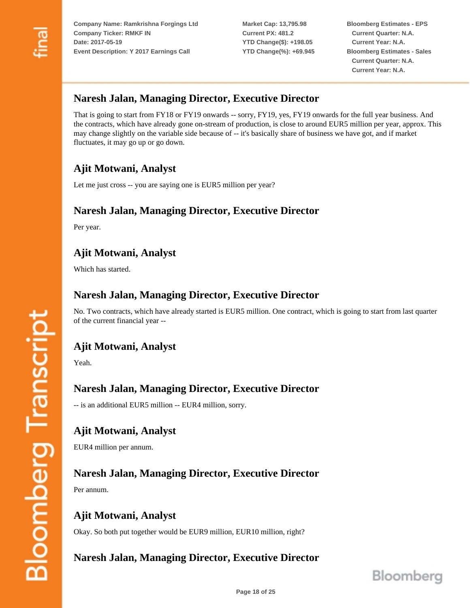**Market Cap: 13,795.98 Current PX: 481.2 YTD Change(\$): +198.05 YTD Change(%): +69.945**

**Bloomberg Estimates - EPS Current Quarter: N.A. Current Year: N.A. Bloomberg Estimates - Sales Current Quarter: N.A. Current Year: N.A.**

### **Naresh Jalan, Managing Director, Executive Director**

That is going to start from FY18 or FY19 onwards -- sorry, FY19, yes, FY19 onwards for the full year business. And the contracts, which have already gone on-stream of production, is close to around EUR5 million per year, approx. This may change slightly on the variable side because of -- it's basically share of business we have got, and if market fluctuates, it may go up or go down.

# **Ajit Motwani, Analyst**

Let me just cross -- you are saying one is EUR5 million per year?

### **Naresh Jalan, Managing Director, Executive Director**

Per year.

# **Ajit Motwani, Analyst**

Which has started.

#### **Naresh Jalan, Managing Director, Executive Director**

No. Two contracts, which have already started is EUR5 million. One contract, which is going to start from last quarter of the current financial year --

### **Ajit Motwani, Analyst**

Yeah.

#### **Naresh Jalan, Managing Director, Executive Director**

-- is an additional EUR5 million -- EUR4 million, sorry.

### **Ajit Motwani, Analyst**

EUR4 million per annum.

#### **Naresh Jalan, Managing Director, Executive Director**

Per annum.

#### **Ajit Motwani, Analyst**

Okay. So both put together would be EUR9 million, EUR10 million, right?

### **Naresh Jalan, Managing Director, Executive Director**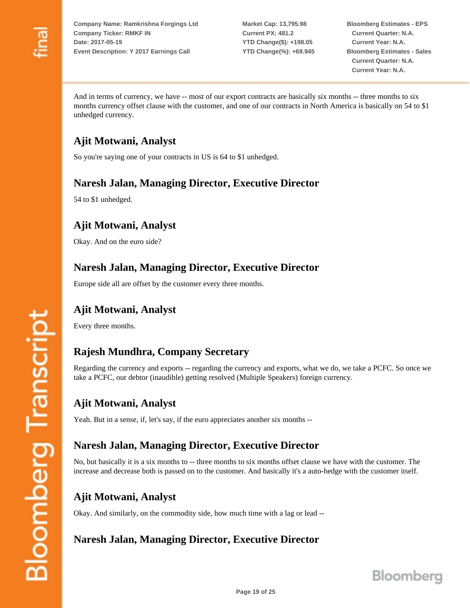**Market Cap: 13,795.98 Current PX: 481.2 YTD Change(\$): +198.05 YTD Change(%): +69.945** **Bloomberg Estimates - EPS Current Quarter: N.A. Current Year: N.A. Bloomberg Estimates - Sales Current Quarter: N.A. Current Year: N.A.**

And in terms of currency, we have -- most of our export contracts are basically six months -- three months to six months currency offset clause with the customer, and one of our contracts in North America is basically on 54 to \$1 unhedged currency.

# **Ajit Motwani, Analyst**

So you're saying one of your contracts in US is 64 to \$1 unhedged.

# **Naresh Jalan, Managing Director, Executive Director**

54 to \$1 unhedged.

# **Ajit Motwani, Analyst**

Okay. And on the euro side?

# **Naresh Jalan, Managing Director, Executive Director**

Europe side all are offset by the customer every three months.

# **Ajit Motwani, Analyst**

Every three months.

# **Rajesh Mundhra, Company Secretary**

Regarding the currency and exports -- regarding the currency and exports, what we do, we take a PCFC. So once we take a PCFC, our debtor (inaudible) getting resolved (Multiple Speakers) foreign currency.

# **Ajit Motwani, Analyst**

Yeah. But in a sense, if, let's say, if the euro appreciates another six months --

### **Naresh Jalan, Managing Director, Executive Director**

No, but basically it is a six months to -- three months to six months offset clause we have with the customer. The increase and decrease both is passed on to the customer. And basically it's a auto-hedge with the customer itself.

# **Ajit Motwani, Analyst**

Okay. And similarly, on the commodity side, how much time with a lag or lead --

# **Naresh Jalan, Managing Director, Executive Director**

**Bloomberg Transcript**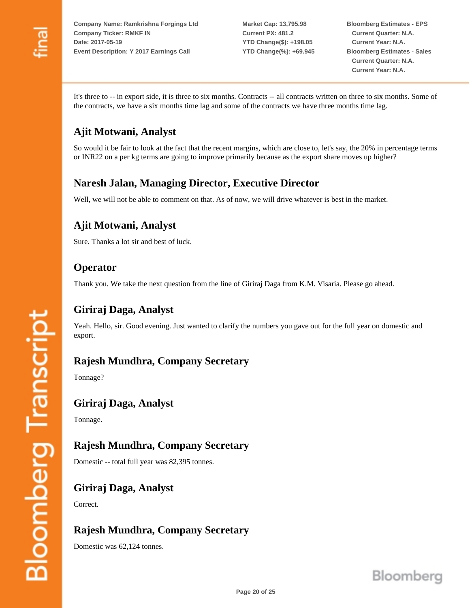**Market Cap: 13,795.98 Current PX: 481.2 YTD Change(\$): +198.05 YTD Change(%): +69.945** **Bloomberg Estimates - EPS Current Quarter: N.A. Current Year: N.A. Bloomberg Estimates - Sales Current Quarter: N.A. Current Year: N.A.**

It's three to -- in export side, it is three to six months. Contracts -- all contracts written on three to six months. Some of the contracts, we have a six months time lag and some of the contracts we have three months time lag.

# **Ajit Motwani, Analyst**

So would it be fair to look at the fact that the recent margins, which are close to, let's say, the 20% in percentage terms or INR22 on a per kg terms are going to improve primarily because as the export share moves up higher?

# **Naresh Jalan, Managing Director, Executive Director**

Well, we will not be able to comment on that. As of now, we will drive whatever is best in the market.

# **Ajit Motwani, Analyst**

Sure. Thanks a lot sir and best of luck.

#### **Operator**

Thank you. We take the next question from the line of Giriraj Daga from K.M. Visaria. Please go ahead.

# **Giriraj Daga, Analyst** Yeah. Hello, sir. Good evening. Just wanted to clarify the numbers you gave out for the full year on domestic and export. **Rajesh Mundhra, Company Secretary** Tonnage? **Giriraj Daga, Analyst** Tonnage.

# **Rajesh Mundhra, Company Secretary**

Domestic -- total full year was 82,395 tonnes.

### **Giriraj Daga, Analyst**

Correct.

# **Rajesh Mundhra, Company Secretary**

Domestic was 62,124 tonnes.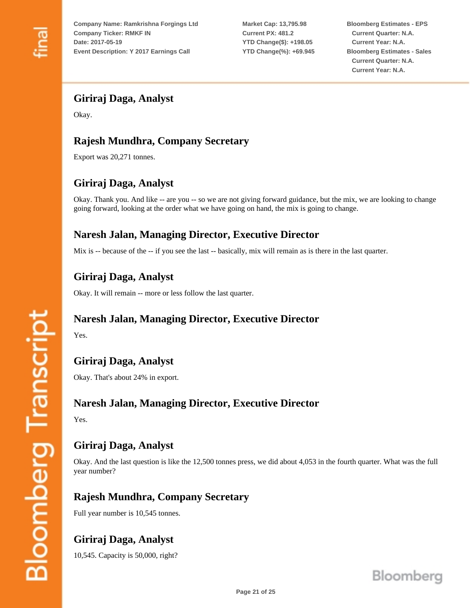**Market Cap: 13,795.98 Current PX: 481.2 YTD Change(\$): +198.05 YTD Change(%): +69.945** **Bloomberg Estimates - EPS Current Quarter: N.A. Current Year: N.A. Bloomberg Estimates - Sales Current Quarter: N.A. Current Year: N.A.**

### **Giriraj Daga, Analyst**

Okay.

# **Rajesh Mundhra, Company Secretary**

Export was 20,271 tonnes.

# **Giriraj Daga, Analyst**

Okay. Thank you. And like -- are you -- so we are not giving forward guidance, but the mix, we are looking to change going forward, looking at the order what we have going on hand, the mix is going to change.

### **Naresh Jalan, Managing Director, Executive Director**

Mix is -- because of the -- if you see the last -- basically, mix will remain as is there in the last quarter.

### **Giriraj Daga, Analyst**

Okay. It will remain -- more or less follow the last quarter.

#### **Naresh Jalan, Managing Director, Executive Director**

Yes.

# **Giriraj Daga, Analyst**

Okay. That's about 24% in export.

#### **Naresh Jalan, Managing Director, Executive Director**

Yes.

### **Giriraj Daga, Analyst**

Okay. And the last question is like the 12,500 tonnes press, we did about 4,053 in the fourth quarter. What was the full year number?

### **Rajesh Mundhra, Company Secretary**

Full year number is 10,545 tonnes.

# **Giriraj Daga, Analyst**

10,545. Capacity is 50,000, right?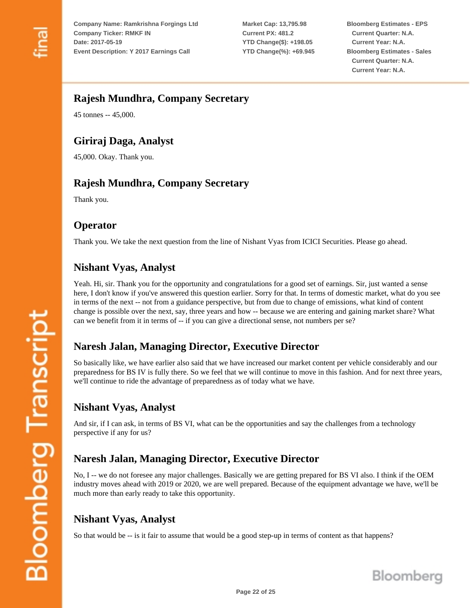**Market Cap: 13,795.98 Current PX: 481.2 YTD Change(\$): +198.05 YTD Change(%): +69.945** **Bloomberg Estimates - EPS Current Quarter: N.A. Current Year: N.A. Bloomberg Estimates - Sales Current Quarter: N.A. Current Year: N.A.**

#### **Rajesh Mundhra, Company Secretary**

45 tonnes -- 45,000.

# **Giriraj Daga, Analyst**

45,000. Okay. Thank you.

# **Rajesh Mundhra, Company Secretary**

Thank you.

### **Operator**

Thank you. We take the next question from the line of Nishant Vyas from ICICI Securities. Please go ahead.

# **Nishant Vyas, Analyst**

Yeah. Hi, sir. Thank you for the opportunity and congratulations for a good set of earnings. Sir, just wanted a sense here, I don't know if you've answered this question earlier. Sorry for that. In terms of domestic market, what do you see in terms of the next -- not from a guidance perspective, but from due to change of emissions, what kind of content change is possible over the next, say, three years and how -- because we are entering and gaining market share? What can we benefit from it in terms of -- if you can give a directional sense, not numbers per se?

### **Naresh Jalan, Managing Director, Executive Director**

So basically like, we have earlier also said that we have increased our market content per vehicle considerably and our preparedness for BS IV is fully there. So we feel that we will continue to move in this fashion. And for next three years, we'll continue to ride the advantage of preparedness as of today what we have.

### **Nishant Vyas, Analyst**

And sir, if I can ask, in terms of BS VI, what can be the opportunities and say the challenges from a technology perspective if any for us?

### **Naresh Jalan, Managing Director, Executive Director**

No, I -- we do not foresee any major challenges. Basically we are getting prepared for BS VI also. I think if the OEM industry moves ahead with 2019 or 2020, we are well prepared. Because of the equipment advantage we have, we'll be much more than early ready to take this opportunity.

# **Nishant Vyas, Analyst**

So that would be -- is it fair to assume that would be a good step-up in terms of content as that happens?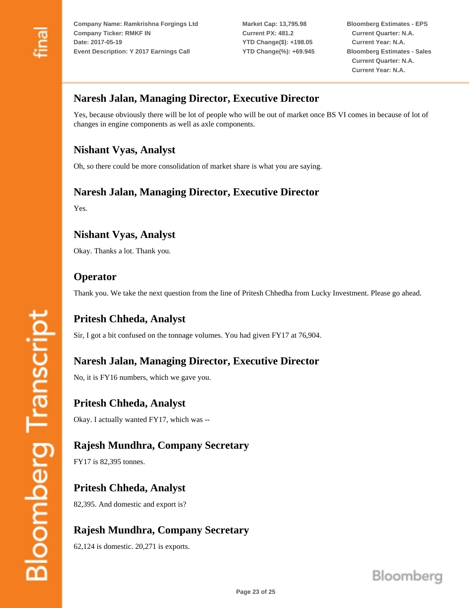**Market Cap: 13,795.98 Current PX: 481.2 YTD Change(\$): +198.05 YTD Change(%): +69.945** **Bloomberg Estimates - EPS Current Quarter: N.A. Current Year: N.A. Bloomberg Estimates - Sales Current Quarter: N.A. Current Year: N.A.**

### **Naresh Jalan, Managing Director, Executive Director**

Yes, because obviously there will be lot of people who will be out of market once BS VI comes in because of lot of changes in engine components as well as axle components.

### **Nishant Vyas, Analyst**

Oh, so there could be more consolidation of market share is what you are saying.

#### **Naresh Jalan, Managing Director, Executive Director**

Yes.

# **Nishant Vyas, Analyst**

Okay. Thanks a lot. Thank you.

#### **Operator**

Thank you. We take the next question from the line of Pritesh Chhedha from Lucky Investment. Please go ahead.

**Pritesh Chheda, Analyst** Sir, I got a bit confused on the tonnage volumes. You had given FY17 at 76,904.

**Naresh Jalan, Managing Director, Executive Director**

No, it is FY16 numbers, which we gave you.

**Pritesh Chheda, Analyst** Okay. I actually wanted FY17, which was --

### **Rajesh Mundhra, Company Secretary**

FY17 is 82,395 tonnes.

**Pritesh Chheda, Analyst** 82,395. And domestic and export is?

# **Rajesh Mundhra, Company Secretary**

62,124 is domestic. 20,271 is exports.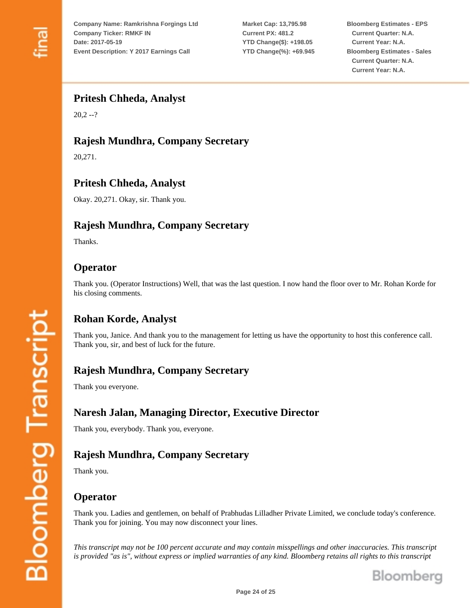**Market Cap: 13,795.98 Current PX: 481.2 YTD Change(\$): +198.05 YTD Change(%): +69.945** **Bloomberg Estimates - EPS Current Quarter: N.A. Current Year: N.A. Bloomberg Estimates - Sales Current Quarter: N.A. Current Year: N.A.**

#### **Pritesh Chheda, Analyst**

 $20,2 -?$ 

# **Rajesh Mundhra, Company Secretary**

20,271.

# **Pritesh Chheda, Analyst**

Okay. 20,271. Okay, sir. Thank you.

# **Rajesh Mundhra, Company Secretary**

Thanks.

#### **Operator**

Thank you. (Operator Instructions) Well, that was the last question. I now hand the floor over to Mr. Rohan Korde for his closing comments.

### **Rohan Korde, Analyst**

Thank you, Janice. And thank you to the management for letting us have the opportunity to host this conference call. Thank you, sir, and best of luck for the future.

### **Rajesh Mundhra, Company Secretary**

Thank you everyone.

### **Naresh Jalan, Managing Director, Executive Director**

Thank you, everybody. Thank you, everyone.

# **Rajesh Mundhra, Company Secretary**

Thank you.

### **Operator**

Thank you. Ladies and gentlemen, on behalf of Prabhudas Lilladher Private Limited, we conclude today's conference. Thank you for joining. You may now disconnect your lines.

*This transcript may not be 100 percent accurate and may contain misspellings and other inaccuracies. This transcript is provided "as is", without express or implied warranties of any kind. Bloomberg retains all rights to this transcript*